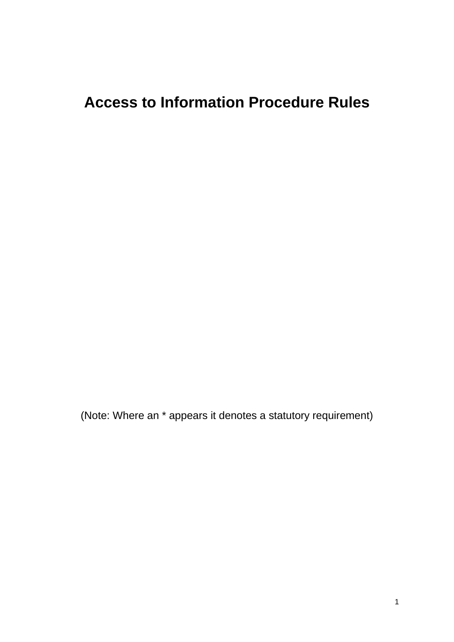**Access to Information Procedure Rules**

(Note: Where an \* appears it denotes a statutory requirement)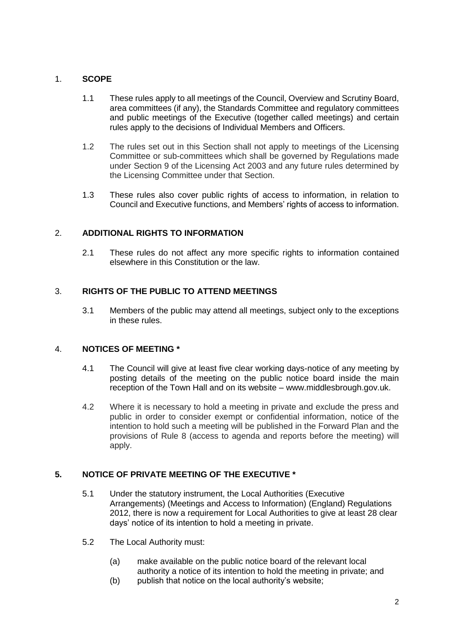# 1. **SCOPE**

- 1.1 These rules apply to all meetings of the Council, Overview and Scrutiny Board, area committees (if any), the Standards Committee and regulatory committees and public meetings of the Executive (together called meetings) and certain rules apply to the decisions of Individual Members and Officers.
- 1.2 The rules set out in this Section shall not apply to meetings of the Licensing Committee or sub-committees which shall be governed by Regulations made under Section 9 of the Licensing Act 2003 and any future rules determined by the Licensing Committee under that Section.
- 1.3 These rules also cover public rights of access to information, in relation to Council and Executive functions, and Members' rights of access to information.

# 2. **ADDITIONAL RIGHTS TO INFORMATION**

2.1 These rules do not affect any more specific rights to information contained elsewhere in this Constitution or the law.

# 3. **RIGHTS OF THE PUBLIC TO ATTEND MEETINGS**

3.1 Members of the public may attend all meetings, subject only to the exceptions in these rules.

# 4. **NOTICES OF MEETING \***

- 4.1 The Council will give at least five clear working days-notice of any meeting by posting details of the meeting on the public notice board inside the main reception of the Town Hall and on its website – www.middlesbrough.gov.uk.
- 4.2 Where it is necessary to hold a meeting in private and exclude the press and public in order to consider exempt or confidential information, notice of the intention to hold such a meeting will be published in the Forward Plan and the provisions of Rule 8 (access to agenda and reports before the meeting) will apply.

# **5. NOTICE OF PRIVATE MEETING OF THE EXECUTIVE \***

- 5.1 Under the statutory instrument, the Local Authorities (Executive Arrangements) (Meetings and Access to Information) (England) Regulations 2012, there is now a requirement for Local Authorities to give at least 28 clear days' notice of its intention to hold a meeting in private.
- 5.2 The Local Authority must:
	- (a) make available on the public notice board of the relevant local authority a notice of its intention to hold the meeting in private; and
	- (b) publish that notice on the local authority's website;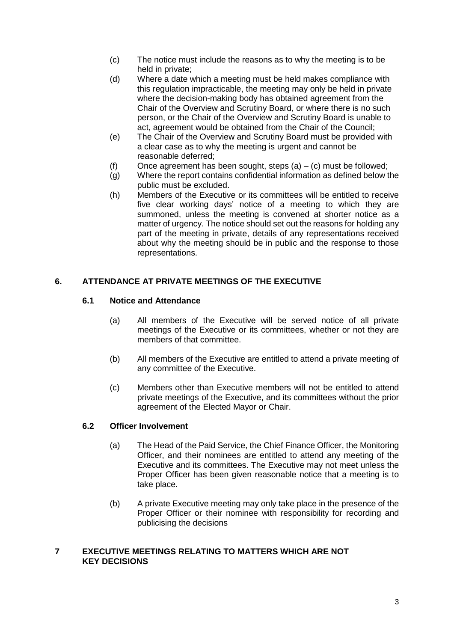- (c) The notice must include the reasons as to why the meeting is to be held in private;
- (d) Where a date which a meeting must be held makes compliance with this regulation impracticable, the meeting may only be held in private where the decision-making body has obtained agreement from the Chair of the Overview and Scrutiny Board, or where there is no such person, or the Chair of the Overview and Scrutiny Board is unable to act, agreement would be obtained from the Chair of the Council;
- (e) The Chair of the Overview and Scrutiny Board must be provided with a clear case as to why the meeting is urgent and cannot be reasonable deferred;
- (f) Once agreement has been sought, steps  $(a) (c)$  must be followed;
- (g) Where the report contains confidential information as defined below the public must be excluded.
- (h) Members of the Executive or its committees will be entitled to receive five clear working days' notice of a meeting to which they are summoned, unless the meeting is convened at shorter notice as a matter of urgency. The notice should set out the reasons for holding any part of the meeting in private, details of any representations received about why the meeting should be in public and the response to those representations.

## **6. ATTENDANCE AT PRIVATE MEETINGS OF THE EXECUTIVE**

#### **6.1 Notice and Attendance**

- (a) All members of the Executive will be served notice of all private meetings of the Executive or its committees, whether or not they are members of that committee.
- (b) All members of the Executive are entitled to attend a private meeting of any committee of the Executive.
- (c) Members other than Executive members will not be entitled to attend private meetings of the Executive, and its committees without the prior agreement of the Elected Mayor or Chair.

## **6.2 Officer Involvement**

- (a) The Head of the Paid Service, the Chief Finance Officer, the Monitoring Officer, and their nominees are entitled to attend any meeting of the Executive and its committees. The Executive may not meet unless the Proper Officer has been given reasonable notice that a meeting is to take place.
- (b) A private Executive meeting may only take place in the presence of the Proper Officer or their nominee with responsibility for recording and publicising the decisions

#### **7 EXECUTIVE MEETINGS RELATING TO MATTERS WHICH ARE NOT KEY DECISIONS**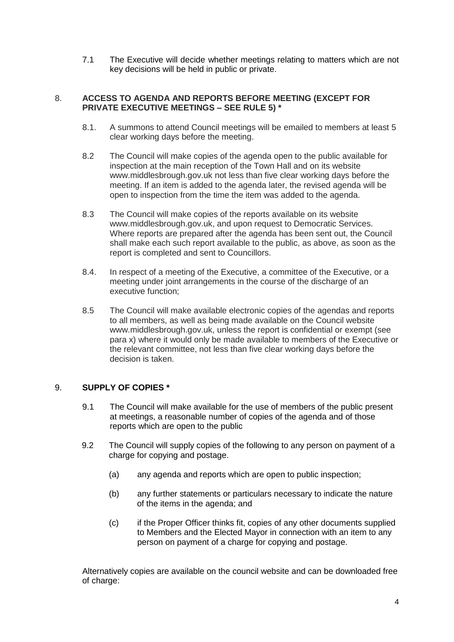7.1 The Executive will decide whether meetings relating to matters which are not key decisions will be held in public or private.

#### 8. **ACCESS TO AGENDA AND REPORTS BEFORE MEETING (EXCEPT FOR PRIVATE EXECUTIVE MEETINGS – SEE RULE 5) \***

- 8.1. A summons to attend Council meetings will be emailed to members at least 5 clear working days before the meeting.
- 8.2 The Council will make copies of the agenda open to the public available for inspection at the main reception of the Town Hall and on its website www.middlesbrough.gov.uk not less than five clear working days before the meeting. If an item is added to the agenda later, the revised agenda will be open to inspection from the time the item was added to the agenda.
- 8.3 The Council will make copies of the reports available on its website www.middlesbrough.gov.uk, and upon request to Democratic Services. Where reports are prepared after the agenda has been sent out, the Council shall make each such report available to the public, as above, as soon as the report is completed and sent to Councillors.
- 8.4. In respect of a meeting of the Executive, a committee of the Executive, or a meeting under joint arrangements in the course of the discharge of an executive function;
- 8.5 The Council will make available electronic copies of the agendas and reports to all members, as well as being made available on the Council website www.middlesbrough.gov.uk, unless the report is confidential or exempt (see para x) where it would only be made available to members of the Executive or the relevant committee, not less than five clear working days before the decision is taken.

# 9. **SUPPLY OF COPIES \***

- 9.1 The Council will make available for the use of members of the public present at meetings, a reasonable number of copies of the agenda and of those reports which are open to the public
- 9.2 The Council will supply copies of the following to any person on payment of a charge for copying and postage.
	- (a) any agenda and reports which are open to public inspection;
	- (b) any further statements or particulars necessary to indicate the nature of the items in the agenda; and
	- (c) if the Proper Officer thinks fit, copies of any other documents supplied to Members and the Elected Mayor in connection with an item to any person on payment of a charge for copying and postage.

Alternatively copies are available on the council website and can be downloaded free of charge: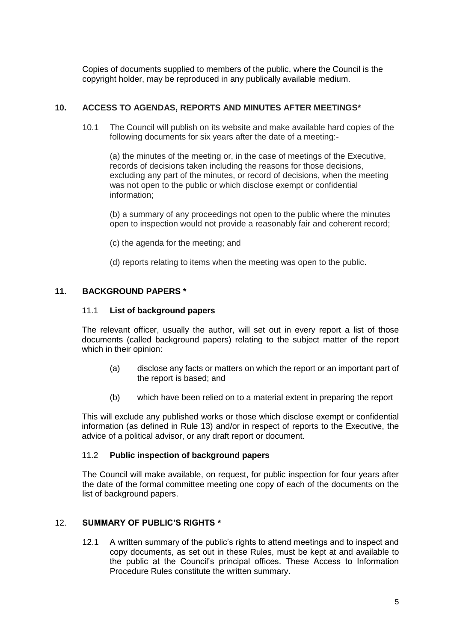Copies of documents supplied to members of the public, where the Council is the copyright holder, may be reproduced in any publically available medium.

## **10. ACCESS TO AGENDAS, REPORTS AND MINUTES AFTER MEETINGS\***

10.1 The Council will publish on its website and make available hard copies of the following documents for six years after the date of a meeting:-

(a) the minutes of the meeting or, in the case of meetings of the Executive, records of decisions taken including the reasons for those decisions, excluding any part of the minutes, or record of decisions, when the meeting was not open to the public or which disclose exempt or confidential information;

(b) a summary of any proceedings not open to the public where the minutes open to inspection would not provide a reasonably fair and coherent record;

(c) the agenda for the meeting; and

(d) reports relating to items when the meeting was open to the public.

## **11. BACKGROUND PAPERS \***

#### 11.1 **List of background papers**

The relevant officer, usually the author, will set out in every report a list of those documents (called background papers) relating to the subject matter of the report which in their opinion:

- (a) disclose any facts or matters on which the report or an important part of the report is based; and
- (b) which have been relied on to a material extent in preparing the report

This will exclude any published works or those which disclose exempt or confidential information (as defined in Rule 13) and/or in respect of reports to the Executive, the advice of a political advisor, or any draft report or document.

## 11.2 **Public inspection of background papers**

The Council will make available, on request, for public inspection for four years after the date of the formal committee meeting one copy of each of the documents on the list of background papers.

## 12. **SUMMARY OF PUBLIC'S RIGHTS \***

12.1 A written summary of the public's rights to attend meetings and to inspect and copy documents, as set out in these Rules, must be kept at and available to the public at the Council's principal offices. These Access to Information Procedure Rules constitute the written summary.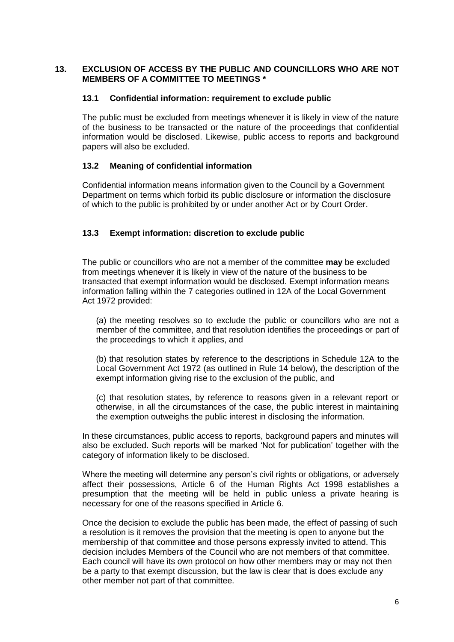## **13. EXCLUSION OF ACCESS BY THE PUBLIC AND COUNCILLORS WHO ARE NOT MEMBERS OF A COMMITTEE TO MEETINGS \***

#### **13.1 Confidential information: requirement to exclude public**

The public must be excluded from meetings whenever it is likely in view of the nature of the business to be transacted or the nature of the proceedings that confidential information would be disclosed. Likewise, public access to reports and background papers will also be excluded.

## **13.2 Meaning of confidential information**

Confidential information means information given to the Council by a Government Department on terms which forbid its public disclosure or information the disclosure of which to the public is prohibited by or under another Act or by Court Order.

## **13.3 Exempt information: discretion to exclude public**

The public or councillors who are not a member of the committee **may** be excluded from meetings whenever it is likely in view of the nature of the business to be transacted that exempt information would be disclosed. Exempt information means information falling within the 7 categories outlined in 12A of the Local Government Act 1972 provided:

(a) the meeting resolves so to exclude the public or councillors who are not a member of the committee, and that resolution identifies the proceedings or part of the proceedings to which it applies, and

(b) that resolution states by reference to the descriptions in Schedule 12A to the Local Government Act 1972 (as outlined in Rule 14 below), the description of the exempt information giving rise to the exclusion of the public, and

(c) that resolution states, by reference to reasons given in a relevant report or otherwise, in all the circumstances of the case, the public interest in maintaining the exemption outweighs the public interest in disclosing the information.

In these circumstances, public access to reports, background papers and minutes will also be excluded. Such reports will be marked 'Not for publication' together with the category of information likely to be disclosed.

Where the meeting will determine any person's civil rights or obligations, or adversely affect their possessions, Article 6 of the Human Rights Act 1998 establishes a presumption that the meeting will be held in public unless a private hearing is necessary for one of the reasons specified in Article 6.

Once the decision to exclude the public has been made, the effect of passing of such a resolution is it removes the provision that the meeting is open to anyone but the membership of that committee and those persons expressly invited to attend. This decision includes Members of the Council who are not members of that committee. Each council will have its own protocol on how other members may or may not then be a party to that exempt discussion, but the law is clear that is does exclude any other member not part of that committee.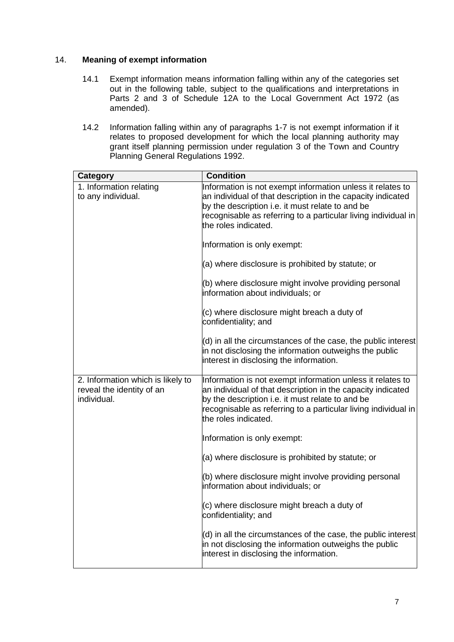## 14. **Meaning of exempt information**

- 14.1 Exempt information means information falling within any of the categories set out in the following table, subject to the qualifications and interpretations in Parts 2 and 3 of Schedule 12A to the Local Government Act 1972 (as amended).
- 14.2 Information falling within any of paragraphs 1-7 is not exempt information if it relates to proposed development for which the local planning authority may grant itself planning permission under regulation 3 of the Town and Country Planning General Regulations 1992.

| <b>Category</b>                                                               | <b>Condition</b>                                                                                                                                                                                                                                                        |
|-------------------------------------------------------------------------------|-------------------------------------------------------------------------------------------------------------------------------------------------------------------------------------------------------------------------------------------------------------------------|
| 1. Information relating<br>to any individual.                                 | Information is not exempt information unless it relates to<br>an individual of that description in the capacity indicated<br>by the description i.e. it must relate to and be<br>recognisable as referring to a particular living individual in<br>the roles indicated. |
|                                                                               | Information is only exempt:                                                                                                                                                                                                                                             |
|                                                                               | (a) where disclosure is prohibited by statute; or                                                                                                                                                                                                                       |
|                                                                               | (b) where disclosure might involve providing personal<br>information about individuals; or                                                                                                                                                                              |
|                                                                               | (c) where disclosure might breach a duty of<br>confidentiality; and                                                                                                                                                                                                     |
|                                                                               | (d) in all the circumstances of the case, the public interest<br>in not disclosing the information outweighs the public<br>interest in disclosing the information.                                                                                                      |
| 2. Information which is likely to<br>reveal the identity of an<br>individual. | Information is not exempt information unless it relates to<br>an individual of that description in the capacity indicated<br>by the description i.e. it must relate to and be<br>recognisable as referring to a particular living individual in<br>the roles indicated. |
|                                                                               | Information is only exempt:                                                                                                                                                                                                                                             |
|                                                                               | (a) where disclosure is prohibited by statute; or                                                                                                                                                                                                                       |
|                                                                               | (b) where disclosure might involve providing personal<br>information about individuals; or                                                                                                                                                                              |
|                                                                               | (c) where disclosure might breach a duty of<br>confidentiality; and                                                                                                                                                                                                     |
|                                                                               | (d) in all the circumstances of the case, the public interest<br>in not disclosing the information outweighs the public<br>interest in disclosing the information.                                                                                                      |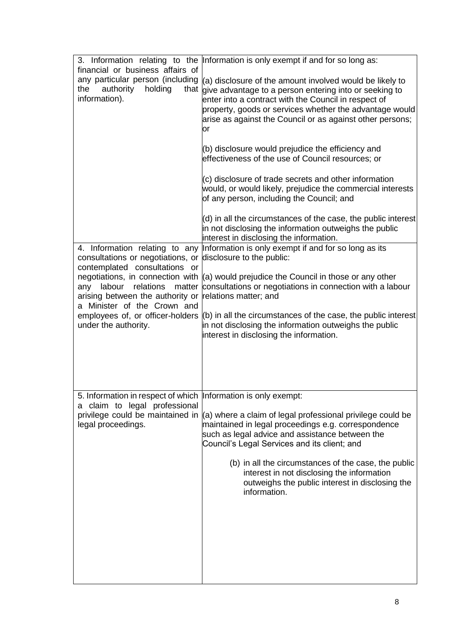| financial or business affairs of<br>any particular person (including<br>the<br>authority<br>holding<br>that<br>information).                                                                                                                                                                         | 3. Information relating to the Information is only exempt if and for so long as:<br>$(a)$ disclosure of the amount involved would be likely to<br>give advantage to a person entering into or seeking to<br>enter into a contract with the Council in respect of<br>property, goods or services whether the advantage would<br>arise as against the Council or as against other persons;<br>lor<br>(b) disclosure would prejudice the efficiency and<br>effectiveness of the use of Council resources; or<br>(c) disclosure of trade secrets and other information<br>would, or would likely, prejudice the commercial interests<br>of any person, including the Council; and<br>(d) in all the circumstances of the case, the public interest<br>in not disclosing the information outweighs the public |
|------------------------------------------------------------------------------------------------------------------------------------------------------------------------------------------------------------------------------------------------------------------------------------------------------|----------------------------------------------------------------------------------------------------------------------------------------------------------------------------------------------------------------------------------------------------------------------------------------------------------------------------------------------------------------------------------------------------------------------------------------------------------------------------------------------------------------------------------------------------------------------------------------------------------------------------------------------------------------------------------------------------------------------------------------------------------------------------------------------------------|
|                                                                                                                                                                                                                                                                                                      | interest in disclosing the information.                                                                                                                                                                                                                                                                                                                                                                                                                                                                                                                                                                                                                                                                                                                                                                  |
| consultations or negotiations, or disclosure to the public:<br>contemplated consultations or<br>negotiations, in connection with<br>any labour<br>relations<br>matter<br>arising between the authority or<br>a Minister of the Crown and<br>employees of, or officer-holders<br>under the authority. | 4. Information relating to any Information is only exempt if and for so long as its<br>$(a)$ would prejudice the Council in those or any other<br>consultations or negotiations in connection with a labour<br>relations matter; and<br>$(6)$ in all the circumstances of the case, the public interest<br>in not disclosing the information outweighs the public<br>interest in disclosing the information.                                                                                                                                                                                                                                                                                                                                                                                             |
| 5. Information in respect of which  Information is only exempt:<br>a claim to legal professional<br>legal proceedings.                                                                                                                                                                               | privilege could be maintained in $\vert a \rangle$ where a claim of legal professional privilege could be<br>maintained in legal proceedings e.g. correspondence<br>such as legal advice and assistance between the<br>Council's Legal Services and its client; and<br>(b) in all the circumstances of the case, the public<br>interest in not disclosing the information<br>outweighs the public interest in disclosing the<br>information.                                                                                                                                                                                                                                                                                                                                                             |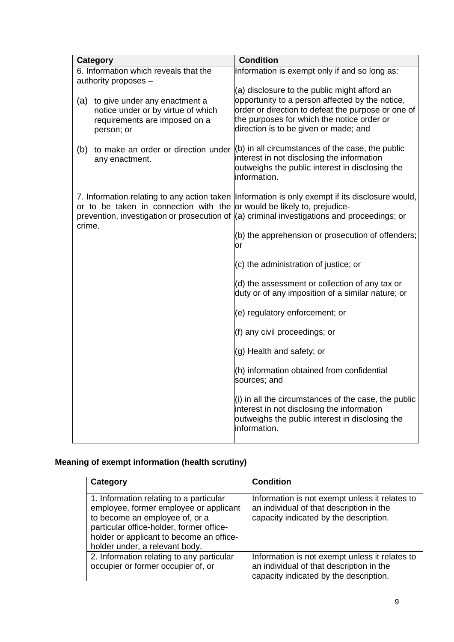| <b>Category</b>                                                                                                           | <b>Condition</b>                                                                                                                                                                                                                             |
|---------------------------------------------------------------------------------------------------------------------------|----------------------------------------------------------------------------------------------------------------------------------------------------------------------------------------------------------------------------------------------|
| 6. Information which reveals that the<br>authority proposes -                                                             | Information is exempt only if and so long as:                                                                                                                                                                                                |
| (a)<br>to give under any enactment a<br>notice under or by virtue of which<br>requirements are imposed on a<br>person; or | (a) disclosure to the public might afford an<br>opportunity to a person affected by the notice,<br>order or direction to defeat the purpose or one of<br>the purposes for which the notice order or<br>direction is to be given or made; and |
| to make an order or direction under<br>(b)<br>any enactment.                                                              | $(6)$ in all circumstances of the case, the public<br>interest in not disclosing the information<br>outweighs the public interest in disclosing the<br>information.                                                                          |
| or to be taken in connection with the or would be likely to, prejudice-<br>crime.                                         | 7. Information relating to any action taken Information is only exempt if its disclosure would,<br>prevention, investigation or prosecution of (a) criminal investigations and proceedings; or                                               |
|                                                                                                                           | (b) the apprehension or prosecution of offenders;<br>or                                                                                                                                                                                      |
|                                                                                                                           | $(c)$ the administration of justice; or                                                                                                                                                                                                      |
|                                                                                                                           | $(d)$ the assessment or collection of any tax or<br>duty or of any imposition of a similar nature; or                                                                                                                                        |
|                                                                                                                           | (e) regulatory enforcement; or                                                                                                                                                                                                               |
|                                                                                                                           | (f) any civil proceedings; or                                                                                                                                                                                                                |
|                                                                                                                           | $(g)$ Health and safety; or                                                                                                                                                                                                                  |
|                                                                                                                           | (h) information obtained from confidential<br>sources; and                                                                                                                                                                                   |
|                                                                                                                           | $(i)$ in all the circumstances of the case, the public<br>interest in not disclosing the information<br>outweighs the public interest in disclosing the<br>information.                                                                      |

# **Meaning of exempt information (health scrutiny)**

| Category                                                                                                                                                                                                                                      | <b>Condition</b>                                                                                                                     |
|-----------------------------------------------------------------------------------------------------------------------------------------------------------------------------------------------------------------------------------------------|--------------------------------------------------------------------------------------------------------------------------------------|
| 1. Information relating to a particular<br>employee, former employee or applicant<br>to become an employee of, or a<br>particular office-holder, former office-<br>holder or applicant to become an office-<br>holder under, a relevant body. | Information is not exempt unless it relates to<br>an individual of that description in the<br>capacity indicated by the description. |
| 2. Information relating to any particular<br>occupier or former occupier of, or                                                                                                                                                               | Information is not exempt unless it relates to<br>an individual of that description in the<br>capacity indicated by the description. |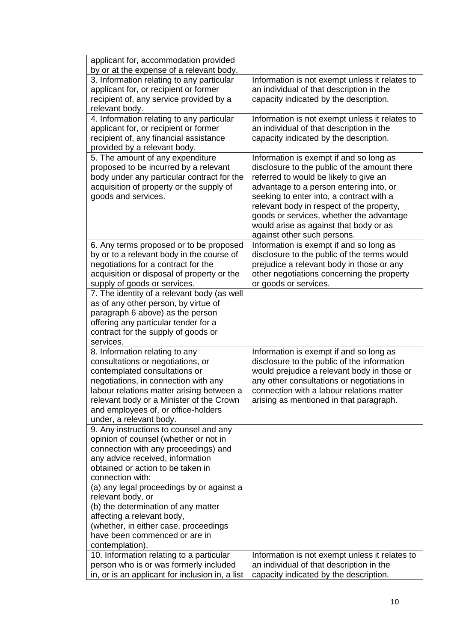| applicant for, accommodation provided<br>by or at the expense of a relevant body.                                                                                                                                                                                                                                                                                                                                                                        |                                                                                                                                                                                                                                                                                                                                                                                            |
|----------------------------------------------------------------------------------------------------------------------------------------------------------------------------------------------------------------------------------------------------------------------------------------------------------------------------------------------------------------------------------------------------------------------------------------------------------|--------------------------------------------------------------------------------------------------------------------------------------------------------------------------------------------------------------------------------------------------------------------------------------------------------------------------------------------------------------------------------------------|
| 3. Information relating to any particular<br>applicant for, or recipient or former<br>recipient of, any service provided by a<br>relevant body.                                                                                                                                                                                                                                                                                                          | Information is not exempt unless it relates to<br>an individual of that description in the<br>capacity indicated by the description.                                                                                                                                                                                                                                                       |
| 4. Information relating to any particular<br>applicant for, or recipient or former<br>recipient of, any financial assistance<br>provided by a relevant body.                                                                                                                                                                                                                                                                                             | Information is not exempt unless it relates to<br>an individual of that description in the<br>capacity indicated by the description.                                                                                                                                                                                                                                                       |
| 5. The amount of any expenditure<br>proposed to be incurred by a relevant<br>body under any particular contract for the<br>acquisition of property or the supply of<br>goods and services.                                                                                                                                                                                                                                                               | Information is exempt if and so long as<br>disclosure to the public of the amount there<br>referred to would be likely to give an<br>advantage to a person entering into, or<br>seeking to enter into, a contract with a<br>relevant body in respect of the property,<br>goods or services, whether the advantage<br>would arise as against that body or as<br>against other such persons. |
| 6. Any terms proposed or to be proposed<br>by or to a relevant body in the course of<br>negotiations for a contract for the<br>acquisition or disposal of property or the<br>supply of goods or services.                                                                                                                                                                                                                                                | Information is exempt if and so long as<br>disclosure to the public of the terms would<br>prejudice a relevant body in those or any<br>other negotiations concerning the property<br>or goods or services.                                                                                                                                                                                 |
| 7. The identity of a relevant body (as well<br>as of any other person, by virtue of<br>paragraph 6 above) as the person<br>offering any particular tender for a<br>contract for the supply of goods or<br>services.                                                                                                                                                                                                                                      |                                                                                                                                                                                                                                                                                                                                                                                            |
| 8. Information relating to any<br>consultations or negotiations, or<br>contemplated consultations or<br>negotiations, in connection with any<br>labour relations matter arising between a<br>relevant body or a Minister of the Crown<br>and employees of, or office-holders<br>under, a relevant body.                                                                                                                                                  | Information is exempt if and so long as<br>disclosure to the public of the information<br>would prejudice a relevant body in those or<br>any other consultations or negotiations in<br>connection with a labour relations matter<br>arising as mentioned in that paragraph.                                                                                                                |
| 9. Any instructions to counsel and any<br>opinion of counsel (whether or not in<br>connection with any proceedings) and<br>any advice received, information<br>obtained or action to be taken in<br>connection with:<br>(a) any legal proceedings by or against a<br>relevant body, or<br>(b) the determination of any matter<br>affecting a relevant body,<br>(whether, in either case, proceedings<br>have been commenced or are in<br>contemplation). |                                                                                                                                                                                                                                                                                                                                                                                            |
| 10. Information relating to a particular<br>person who is or was formerly included<br>in, or is an applicant for inclusion in, a list                                                                                                                                                                                                                                                                                                                    | Information is not exempt unless it relates to<br>an individual of that description in the<br>capacity indicated by the description.                                                                                                                                                                                                                                                       |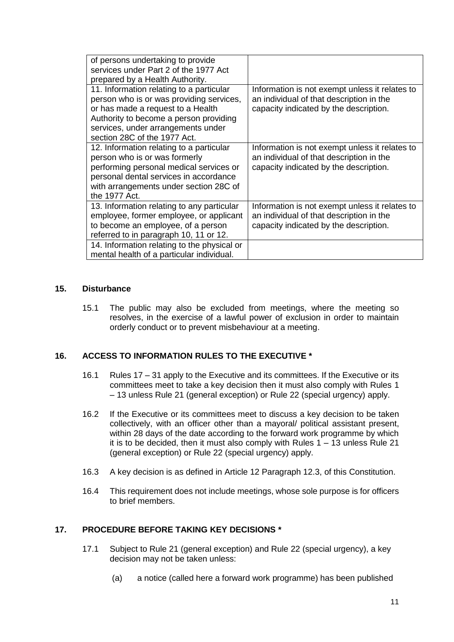| of persons undertaking to provide<br>services under Part 2 of the 1977 Act<br>prepared by a Health Authority.                                                                                                                             |                                                                                                                                      |
|-------------------------------------------------------------------------------------------------------------------------------------------------------------------------------------------------------------------------------------------|--------------------------------------------------------------------------------------------------------------------------------------|
| 11. Information relating to a particular<br>person who is or was providing services,<br>or has made a request to a Health<br>Authority to become a person providing<br>services, under arrangements under<br>section 28C of the 1977 Act. | Information is not exempt unless it relates to<br>an individual of that description in the<br>capacity indicated by the description. |
| 12. Information relating to a particular<br>person who is or was formerly<br>performing personal medical services or<br>personal dental services in accordance<br>with arrangements under section 28C of<br>the 1977 Act.                 | Information is not exempt unless it relates to<br>an individual of that description in the<br>capacity indicated by the description. |
| 13. Information relating to any particular<br>employee, former employee, or applicant<br>to become an employee, of a person<br>referred to in paragraph 10, 11 or 12.                                                                     | Information is not exempt unless it relates to<br>an individual of that description in the<br>capacity indicated by the description. |
| 14. Information relating to the physical or<br>mental health of a particular individual.                                                                                                                                                  |                                                                                                                                      |

## **15. Disturbance**

15.1 The public may also be excluded from meetings, where the meeting so resolves, in the exercise of a lawful power of exclusion in order to maintain orderly conduct or to prevent misbehaviour at a meeting.

# **16. ACCESS TO INFORMATION RULES TO THE EXECUTIVE \***

- 16.1 Rules 17 31 apply to the Executive and its committees. If the Executive or its committees meet to take a key decision then it must also comply with Rules 1 – 13 unless Rule 21 (general exception) or Rule 22 (special urgency) apply.
- 16.2 If the Executive or its committees meet to discuss a key decision to be taken collectively, with an officer other than a mayoral/ political assistant present, within 28 days of the date according to the forward work programme by which it is to be decided, then it must also comply with Rules  $1 - 13$  unless Rule 21 (general exception) or Rule 22 (special urgency) apply.
- 16.3 A key decision is as defined in Article 12 Paragraph 12.3, of this Constitution.
- 16.4 This requirement does not include meetings, whose sole purpose is for officers to brief members.

# **17. PROCEDURE BEFORE TAKING KEY DECISIONS \***

- 17.1 Subject to Rule 21 (general exception) and Rule 22 (special urgency), a key decision may not be taken unless:
	- (a) a notice (called here a forward work programme) has been published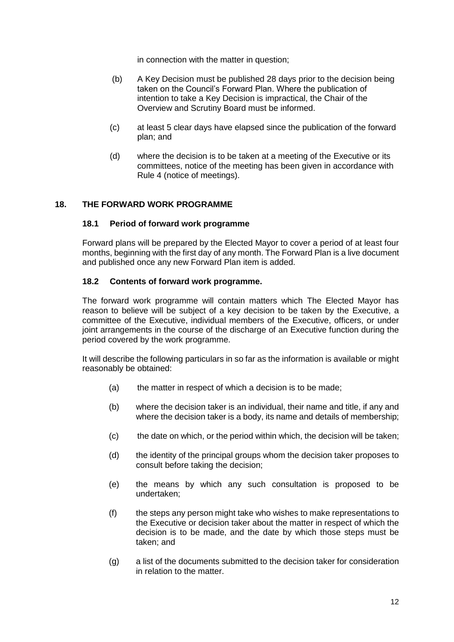in connection with the matter in question;

- (b) A Key Decision must be published 28 days prior to the decision being taken on the Council's Forward Plan. Where the publication of intention to take a Key Decision is impractical, the Chair of the Overview and Scrutiny Board must be informed.
- (c) at least 5 clear days have elapsed since the publication of the forward plan; and
- (d) where the decision is to be taken at a meeting of the Executive or its committees, notice of the meeting has been given in accordance with Rule 4 (notice of meetings).

## **18. THE FORWARD WORK PROGRAMME**

## **18.1 Period of forward work programme**

Forward plans will be prepared by the Elected Mayor to cover a period of at least four months, beginning with the first day of any month. The Forward Plan is a live document and published once any new Forward Plan item is added.

#### **18.2 Contents of forward work programme.**

The forward work programme will contain matters which The Elected Mayor has reason to believe will be subject of a key decision to be taken by the Executive, a committee of the Executive, individual members of the Executive, officers, or under joint arrangements in the course of the discharge of an Executive function during the period covered by the work programme.

It will describe the following particulars in so far as the information is available or might reasonably be obtained:

- (a) the matter in respect of which a decision is to be made;
- (b) where the decision taker is an individual, their name and title, if any and where the decision taker is a body, its name and details of membership;
- (c) the date on which, or the period within which, the decision will be taken;
- (d) the identity of the principal groups whom the decision taker proposes to consult before taking the decision;
- (e) the means by which any such consultation is proposed to be undertaken;
- (f) the steps any person might take who wishes to make representations to the Executive or decision taker about the matter in respect of which the decision is to be made, and the date by which those steps must be taken; and
- (g) a list of the documents submitted to the decision taker for consideration in relation to the matter.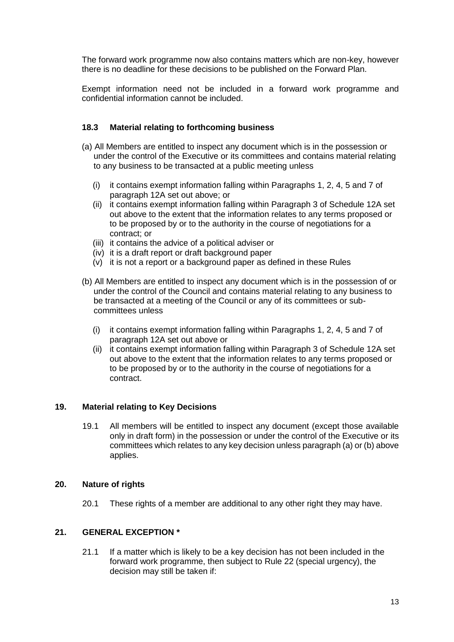The forward work programme now also contains matters which are non-key, however there is no deadline for these decisions to be published on the Forward Plan.

Exempt information need not be included in a forward work programme and confidential information cannot be included.

## **18.3 Material relating to forthcoming business**

- (a) All Members are entitled to inspect any document which is in the possession or under the control of the Executive or its committees and contains material relating to any business to be transacted at a public meeting unless
	- (i) it contains exempt information falling within Paragraphs 1, 2, 4, 5 and 7 of paragraph 12A set out above; or
	- (ii) it contains exempt information falling within Paragraph 3 of Schedule 12A set out above to the extent that the information relates to any terms proposed or to be proposed by or to the authority in the course of negotiations for a contract; or
	- (iii) it contains the advice of a political adviser or
	- (iv) it is a draft report or draft background paper
	- (v) it is not a report or a background paper as defined in these Rules
- (b) All Members are entitled to inspect any document which is in the possession of or under the control of the Council and contains material relating to any business to be transacted at a meeting of the Council or any of its committees or sub committees unless
	- (i) it contains exempt information falling within Paragraphs 1, 2, 4, 5 and 7 of paragraph 12A set out above or
	- (ii) it contains exempt information falling within Paragraph 3 of Schedule 12A set out above to the extent that the information relates to any terms proposed or to be proposed by or to the authority in the course of negotiations for a contract.

#### **19. Material relating to Key Decisions**

19.1 All members will be entitled to inspect any document (except those available only in draft form) in the possession or under the control of the Executive or its committees which relates to any key decision unless paragraph (a) or (b) above applies.

#### **20. Nature of rights**

20.1 These rights of a member are additional to any other right they may have.

## **21. GENERAL EXCEPTION \***

21.1 If a matter which is likely to be a key decision has not been included in the forward work programme, then subject to Rule 22 (special urgency), the decision may still be taken if: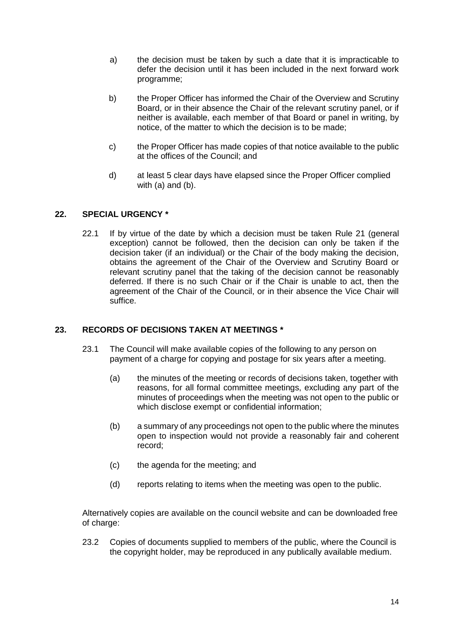- a) the decision must be taken by such a date that it is impracticable to defer the decision until it has been included in the next forward work programme;
- b) the Proper Officer has informed the Chair of the Overview and Scrutiny Board, or in their absence the Chair of the relevant scrutiny panel, or if neither is available, each member of that Board or panel in writing, by notice, of the matter to which the decision is to be made;
- c) the Proper Officer has made copies of that notice available to the public at the offices of the Council; and
- d) at least 5 clear days have elapsed since the Proper Officer complied with (a) and (b).

## **22. SPECIAL URGENCY \***

22.1 If by virtue of the date by which a decision must be taken Rule 21 (general exception) cannot be followed, then the decision can only be taken if the decision taker (if an individual) or the Chair of the body making the decision, obtains the agreement of the Chair of the Overview and Scrutiny Board or relevant scrutiny panel that the taking of the decision cannot be reasonably deferred. If there is no such Chair or if the Chair is unable to act, then the agreement of the Chair of the Council, or in their absence the Vice Chair will suffice.

## **23. RECORDS OF DECISIONS TAKEN AT MEETINGS \***

- 23.1 The Council will make available copies of the following to any person on payment of a charge for copying and postage for six years after a meeting.
	- (a) the minutes of the meeting or records of decisions taken, together with reasons, for all formal committee meetings, excluding any part of the minutes of proceedings when the meeting was not open to the public or which disclose exempt or confidential information;
	- (b) a summary of any proceedings not open to the public where the minutes open to inspection would not provide a reasonably fair and coherent record;
	- (c) the agenda for the meeting; and
	- (d) reports relating to items when the meeting was open to the public.

Alternatively copies are available on the council website and can be downloaded free of charge:

23.2 Copies of documents supplied to members of the public, where the Council is the copyright holder, may be reproduced in any publically available medium.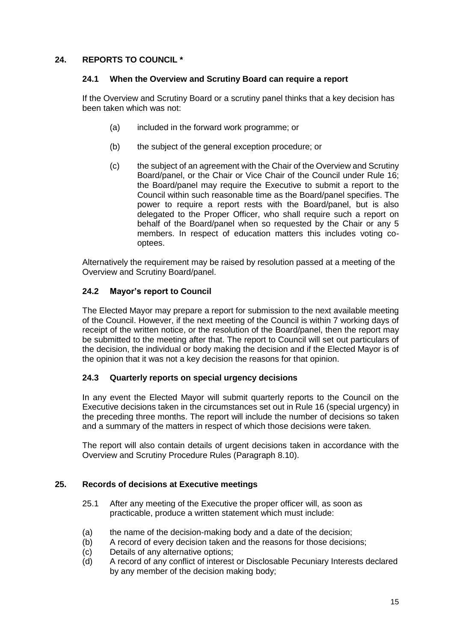# **24. REPORTS TO COUNCIL \***

## **24.1 When the Overview and Scrutiny Board can require a report**

If the Overview and Scrutiny Board or a scrutiny panel thinks that a key decision has been taken which was not:

- (a) included in the forward work programme; or
- (b) the subject of the general exception procedure; or
- (c) the subject of an agreement with the Chair of the Overview and Scrutiny Board/panel, or the Chair or Vice Chair of the Council under Rule 16; the Board/panel may require the Executive to submit a report to the Council within such reasonable time as the Board/panel specifies. The power to require a report rests with the Board/panel, but is also delegated to the Proper Officer, who shall require such a report on behalf of the Board/panel when so requested by the Chair or any 5 members. In respect of education matters this includes voting cooptees.

Alternatively the requirement may be raised by resolution passed at a meeting of the Overview and Scrutiny Board/panel.

## **24.2 Mayor's report to Council**

The Elected Mayor may prepare a report for submission to the next available meeting of the Council. However, if the next meeting of the Council is within 7 working days of receipt of the written notice, or the resolution of the Board/panel, then the report may be submitted to the meeting after that. The report to Council will set out particulars of the decision, the individual or body making the decision and if the Elected Mayor is of the opinion that it was not a key decision the reasons for that opinion.

## **24.3 Quarterly reports on special urgency decisions**

In any event the Elected Mayor will submit quarterly reports to the Council on the Executive decisions taken in the circumstances set out in Rule 16 (special urgency) in the preceding three months. The report will include the number of decisions so taken and a summary of the matters in respect of which those decisions were taken.

The report will also contain details of urgent decisions taken in accordance with the Overview and Scrutiny Procedure Rules (Paragraph 8.10).

## **25. Records of decisions at Executive meetings**

- 25.1 After any meeting of the Executive the proper officer will, as soon as practicable, produce a written statement which must include:
- (a) the name of the decision-making body and a date of the decision;
- (b) A record of every decision taken and the reasons for those decisions;
- (c) Details of any alternative options;
- (d) A record of any conflict of interest or Disclosable Pecuniary Interests declared by any member of the decision making body;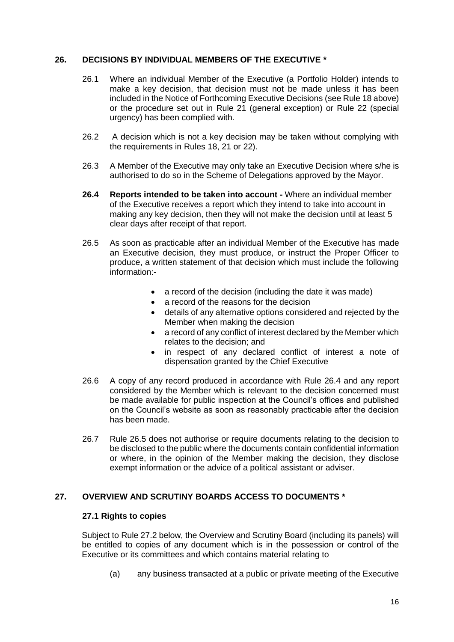## **26. DECISIONS BY INDIVIDUAL MEMBERS OF THE EXECUTIVE \***

- 26.1 Where an individual Member of the Executive (a Portfolio Holder) intends to make a key decision, that decision must not be made unless it has been included in the Notice of Forthcoming Executive Decisions (see Rule 18 above) or the procedure set out in Rule 21 (general exception) or Rule 22 (special urgency) has been complied with.
- 26.2 A decision which is not a key decision may be taken without complying with the requirements in Rules 18, 21 or 22).
- 26.3 A Member of the Executive may only take an Executive Decision where s/he is authorised to do so in the Scheme of Delegations approved by the Mayor.
- **26.4 Reports intended to be taken into account -** Where an individual member of the Executive receives a report which they intend to take into account in making any key decision, then they will not make the decision until at least 5 clear days after receipt of that report.
- 26.5 As soon as practicable after an individual Member of the Executive has made an Executive decision, they must produce, or instruct the Proper Officer to produce, a written statement of that decision which must include the following information:-
	- a record of the decision (including the date it was made)
	- a record of the reasons for the decision
	- details of any alternative options considered and rejected by the Member when making the decision
	- a record of any conflict of interest declared by the Member which relates to the decision; and
	- in respect of any declared conflict of interest a note of dispensation granted by the Chief Executive
- 26.6 A copy of any record produced in accordance with Rule 26.4 and any report considered by the Member which is relevant to the decision concerned must be made available for public inspection at the Council's offices and published on the Council's website as soon as reasonably practicable after the decision has been made.
- 26.7 Rule 26.5 does not authorise or require documents relating to the decision to be disclosed to the public where the documents contain confidential information or where, in the opinion of the Member making the decision, they disclose exempt information or the advice of a political assistant or adviser.

# **27. OVERVIEW AND SCRUTINY BOARDS ACCESS TO DOCUMENTS \***

## **27.1 Rights to copies**

Subject to Rule 27.2 below, the Overview and Scrutiny Board (including its panels) will be entitled to copies of any document which is in the possession or control of the Executive or its committees and which contains material relating to

(a) any business transacted at a public or private meeting of the Executive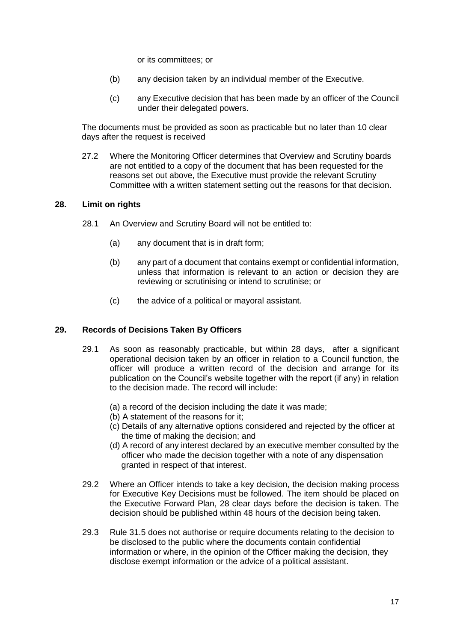or its committees; or

- (b) any decision taken by an individual member of the Executive.
- (c) any Executive decision that has been made by an officer of the Council under their delegated powers.

The documents must be provided as soon as practicable but no later than 10 clear days after the request is received

27.2 Where the Monitoring Officer determines that Overview and Scrutiny boards are not entitled to a copy of the document that has been requested for the reasons set out above, the Executive must provide the relevant Scrutiny Committee with a written statement setting out the reasons for that decision.

#### **28. Limit on rights**

- 28.1 An Overview and Scrutiny Board will not be entitled to:
	- (a) any document that is in draft form;
	- (b) any part of a document that contains exempt or confidential information, unless that information is relevant to an action or decision they are reviewing or scrutinising or intend to scrutinise; or
	- (c) the advice of a political or mayoral assistant.

## **29. Records of Decisions Taken By Officers**

- 29.1 As soon as reasonably practicable, but within 28 days, after a significant operational decision taken by an officer in relation to a Council function, the officer will produce a written record of the decision and arrange for its publication on the Council's website together with the report (if any) in relation to the decision made. The record will include:
	- (a) a record of the decision including the date it was made;
	- (b) A statement of the reasons for it;
	- (c) Details of any alternative options considered and rejected by the officer at the time of making the decision; and
	- (d) A record of any interest declared by an executive member consulted by the officer who made the decision together with a note of any dispensation granted in respect of that interest.
- 29.2 Where an Officer intends to take a key decision, the decision making process for Executive Key Decisions must be followed. The item should be placed on the Executive Forward Plan, 28 clear days before the decision is taken. The decision should be published within 48 hours of the decision being taken.
- 29.3 Rule 31.5 does not authorise or require documents relating to the decision to be disclosed to the public where the documents contain confidential information or where, in the opinion of the Officer making the decision, they disclose exempt information or the advice of a political assistant.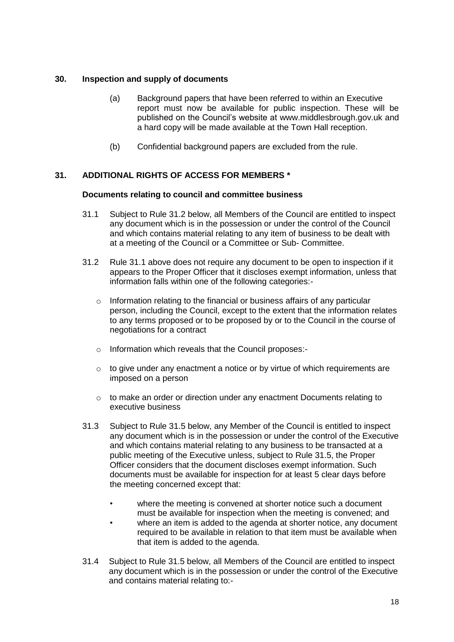## **30. Inspection and supply of documents**

- (a) Background papers that have been referred to within an Executive report must now be available for public inspection. These will be published on the Council's website at www.middlesbrough.gov.uk and a hard copy will be made available at the Town Hall reception.
- (b) Confidential background papers are excluded from the rule.

# **31. ADDITIONAL RIGHTS OF ACCESS FOR MEMBERS \***

## **Documents relating to council and committee business**

- 31.1 Subject to Rule 31.2 below, all Members of the Council are entitled to inspect any document which is in the possession or under the control of the Council and which contains material relating to any item of business to be dealt with at a meeting of the Council or a Committee or Sub- Committee.
- 31.2 Rule 31.1 above does not require any document to be open to inspection if it appears to the Proper Officer that it discloses exempt information, unless that information falls within one of the following categories:
	- o Information relating to the financial or business affairs of any particular person, including the Council, except to the extent that the information relates to any terms proposed or to be proposed by or to the Council in the course of negotiations for a contract
	- o Information which reveals that the Council proposes:-
	- o to give under any enactment a notice or by virtue of which requirements are imposed on a person
	- o to make an order or direction under any enactment Documents relating to executive business
- 31.3 Subject to Rule 31.5 below, any Member of the Council is entitled to inspect any document which is in the possession or under the control of the Executive and which contains material relating to any business to be transacted at a public meeting of the Executive unless, subject to Rule 31.5, the Proper Officer considers that the document discloses exempt information. Such documents must be available for inspection for at least 5 clear days before the meeting concerned except that:
	- where the meeting is convened at shorter notice such a document must be available for inspection when the meeting is convened; and
	- where an item is added to the agenda at shorter notice, any document required to be available in relation to that item must be available when that item is added to the agenda.
- 31.4 Subject to Rule 31.5 below, all Members of the Council are entitled to inspect any document which is in the possession or under the control of the Executive and contains material relating to:-